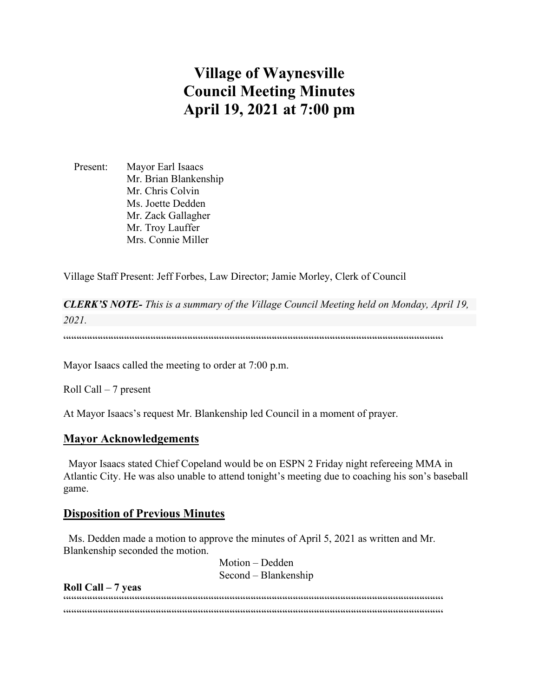# **Village of Waynesville Council Meeting Minutes April 19, 2021 at 7:00 pm**

 Present: Mayor Earl Isaacs Mr. Brian Blankenship Mr. Chris Colvin Ms. Joette Dedden Mr. Zack Gallagher Mr. Troy Lauffer Mrs. Connie Miller

Village Staff Present: Jeff Forbes, Law Director; Jamie Morley, Clerk of Council

*CLERK'S NOTE- This is a summary of the Village Council Meeting held on Monday, April 19, 2021.* 

""""""""""""""""""""""""""""""""""""""""""""""""""""""""""""""""""""""""

Mayor Isaacs called the meeting to order at 7:00 p.m.

Roll Call – 7 present

At Mayor Isaacs's request Mr. Blankenship led Council in a moment of prayer.

#### **Mayor Acknowledgements**

 Mayor Isaacs stated Chief Copeland would be on ESPN 2 Friday night refereeing MMA in Atlantic City. He was also unable to attend tonight's meeting due to coaching his son's baseball game.

#### **Disposition of Previous Minutes**

 Ms. Dedden made a motion to approve the minutes of April 5, 2021 as written and Mr. Blankenship seconded the motion.

> Motion – Dedden Second – Blankenship

**Roll Call – 7 yeas** """"""""""""""""""""""""""""""""""""""""""""""""""""""""""""""""""""""""

""""""""""""""""""""""""""""""""""""""""""""""""""""""""""""""""""""""""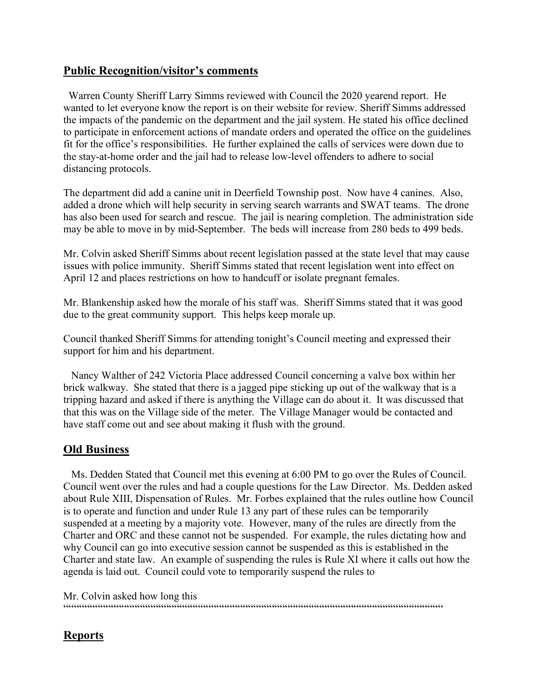## **Public Recognition/visitor's comments**

 Warren County Sheriff Larry Simms reviewed with Council the 2020 yearend report. He wanted to let everyone know the report is on their website for review. Sheriff Simms addressed the impacts of the pandemic on the department and the jail system. He stated his office declined to participate in enforcement actions of mandate orders and operated the office on the guidelines fit for the office's responsibilities. He further explained the calls of services were down due to the stay-at-home order and the jail had to release low-level offenders to adhere to social distancing protocols.

The department did add a canine unit in Deerfield Township post. Now have 4 canines. Also, added a drone which will help security in serving search warrants and SWAT teams. The drone has also been used for search and rescue. The jail is nearing completion. The administration side may be able to move in by mid-September. The beds will increase from 280 beds to 499 beds.

Mr. Colvin asked Sheriff Simms about recent legislation passed at the state level that may cause issues with police immunity. Sheriff Simms stated that recent legislation went into effect on April 12 and places restrictions on how to handcuff or isolate pregnant females.

Mr. Blankenship asked how the morale of his staff was. Sheriff Simms stated that it was good due to the great community support. This helps keep morale up.

Council thanked Sheriff Simms for attending tonight's Council meeting and expressed their support for him and his department.

 Nancy Walther of 242 Victoria Place addressed Council concerning a valve box within her brick walkway. She stated that there is a jagged pipe sticking up out of the walkway that is a tripping hazard and asked if there is anything the Village can do about it. It was discussed that that this was on the Village side of the meter. The Village Manager would be contacted and have staff come out and see about making it flush with the ground.

## **Old Business**

 Ms. Dedden Stated that Council met this evening at 6:00 PM to go over the Rules of Council. Council went over the rules and had a couple questions for the Law Director. Ms. Dedden asked about Rule XIII, Dispensation of Rules. Mr. Forbes explained that the rules outline how Council is to operate and function and under Rule 13 any part of these rules can be temporarily suspended at a meeting by a majority vote. However, many of the rules are directly from the Charter and ORC and these cannot not be suspended. For example, the rules dictating how and why Council can go into executive session cannot be suspended as this is established in the Charter and state law. An example of suspending the rules is Rule XI where it calls out how the agenda is laid out. Council could vote to temporarily suspend the rules to

Mr. Colvin asked how long this """"""""""""""""""""""""""""""""""""""""""""""""""""""""""""""""""""""""

# **Reports**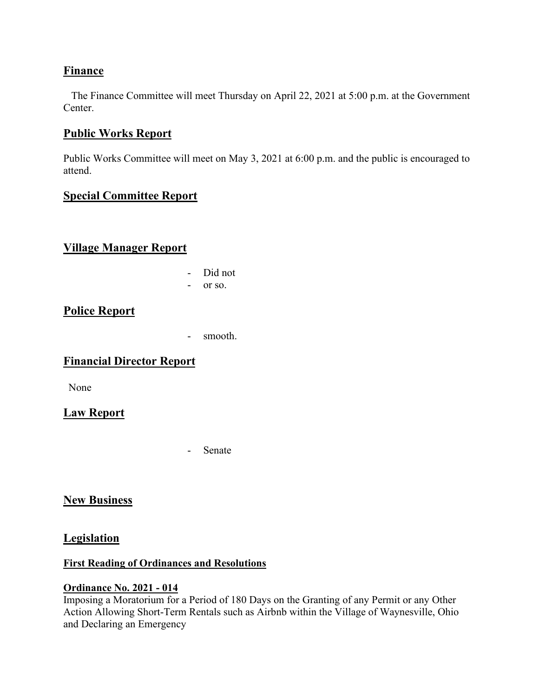## **Finance**

 The Finance Committee will meet Thursday on April 22, 2021 at 5:00 p.m. at the Government Center.

## **Public Works Report**

Public Works Committee will meet on May 3, 2021 at 6:00 p.m. and the public is encouraged to attend.

# **Special Committee Report**

## **Village Manager Report**

- Did not
- or so.

## **Police Report**

- smooth.

## **Financial Director Report**

None

## **Law Report**

- Senate

## **New Business**

## **Legislation**

## **First Reading of Ordinances and Resolutions**

## **Ordinance No. 2021 - 014**

Imposing a Moratorium for a Period of 180 Days on the Granting of any Permit or any Other Action Allowing Short-Term Rentals such as Airbnb within the Village of Waynesville, Ohio and Declaring an Emergency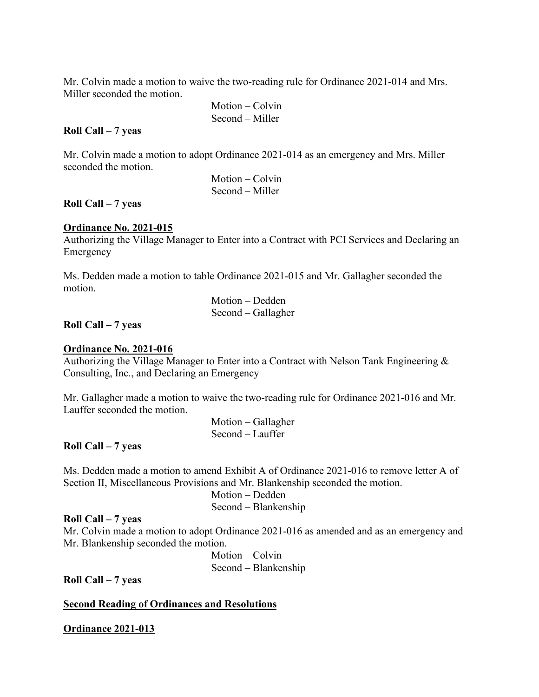Mr. Colvin made a motion to waive the two-reading rule for Ordinance 2021-014 and Mrs. Miller seconded the motion.

> Motion – Colvin Second – Miller

#### **Roll Call – 7 yeas**

Mr. Colvin made a motion to adopt Ordinance 2021-014 as an emergency and Mrs. Miller seconded the motion.

> Motion – Colvin Second – Miller

#### **Roll Call – 7 yeas**

#### **Ordinance No. 2021-015**

Authorizing the Village Manager to Enter into a Contract with PCI Services and Declaring an Emergency

Ms. Dedden made a motion to table Ordinance 2021-015 and Mr. Gallagher seconded the motion.

> Motion – Dedden Second – Gallagher

#### **Roll Call – 7 yeas**

#### **Ordinance No. 2021-016**

Authorizing the Village Manager to Enter into a Contract with Nelson Tank Engineering & Consulting, Inc., and Declaring an Emergency

Mr. Gallagher made a motion to waive the two-reading rule for Ordinance 2021-016 and Mr. Lauffer seconded the motion.

> Motion – Gallagher Second – Lauffer

#### **Roll Call – 7 yeas**

Ms. Dedden made a motion to amend Exhibit A of Ordinance 2021-016 to remove letter A of Section II, Miscellaneous Provisions and Mr. Blankenship seconded the motion.

> Motion – Dedden Second – Blankenship

**Roll Call – 7 yeas**

Mr. Colvin made a motion to adopt Ordinance 2021-016 as amended and as an emergency and Mr. Blankenship seconded the motion.

> Motion – Colvin Second – Blankenship

**Roll Call – 7 yeas**

**Second Reading of Ordinances and Resolutions**

**Ordinance 2021-013**